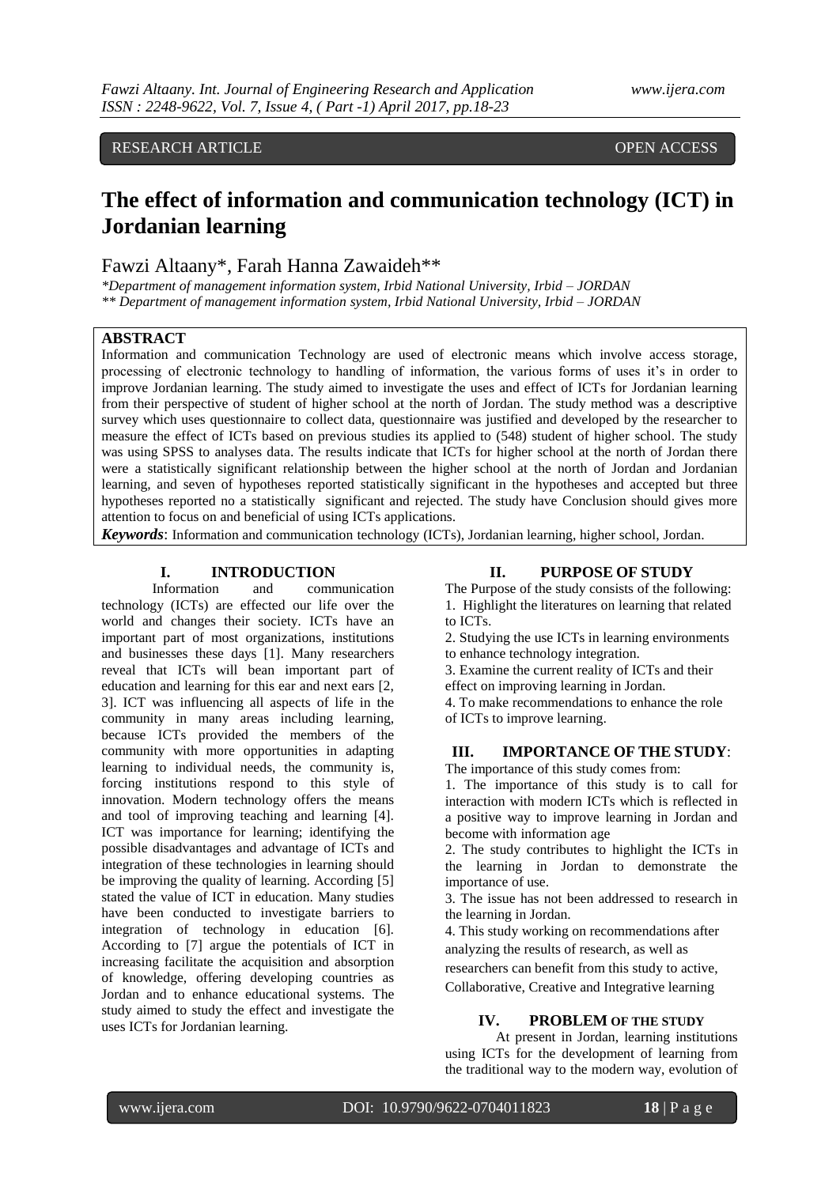# RESEARCH ARTICLE **ARTICLE** AND **CONSIDERED ACCESS**

# **The effect of information and communication technology (ICT) in Jordanian learning**

# Fawzi Altaany\*, Farah Hanna Zawaideh\*\*

*\*Department of management information system, Irbid National University, Irbid – JORDAN \*\* Department of management information system, Irbid National University, Irbid – JORDAN*

#### **ABSTRACT**

Information and communication Technology are used of electronic means which involve access storage, processing of electronic technology to handling of information, the various forms of uses it's in order to improve Jordanian learning. The study aimed to investigate the uses and effect of ICTs for Jordanian learning from their perspective of student of higher school at the north of Jordan. The study method was a descriptive survey which uses questionnaire to collect data, questionnaire was justified and developed by the researcher to measure the effect of ICTs based on previous studies its applied to (548) student of higher school. The study was using SPSS to analyses data. The results indicate that ICTs for higher school at the north of Jordan there were a statistically significant relationship between the higher school at the north of Jordan and Jordanian learning, and seven of hypotheses reported statistically significant in the hypotheses and accepted but three hypotheses reported no a statistically significant and rejected. The study have Conclusion should gives more attention to focus on and beneficial of using ICTs applications.

*Keywords*: Information and communication technology (ICTs), Jordanian learning, higher school, Jordan.

### **I. INTRODUCTION**

Information and communication technology (ICTs) are effected our life over the world and changes their society. ICTs have an important part of most organizations, institutions and businesses these days [1]. Many researchers reveal that ICTs will bean important part of education and learning for this ear and next ears [2, 3]. ICT was influencing all aspects of life in the community in many areas including learning, because ICTs provided the members of the community with more opportunities in adapting learning to individual needs, the community is, forcing institutions respond to this style of innovation. Modern technology offers the means and tool of improving teaching and learning [4]. ICT was importance for learning; identifying the possible disadvantages and advantage of ICTs and integration of these technologies in learning should be improving the quality of learning. According [5] stated the value of ICT in education. Many studies have been conducted to investigate barriers to integration of technology in education [6]. According to [7] argue the potentials of ICT in increasing facilitate the acquisition and absorption of knowledge, offering developing countries as Jordan and to enhance educational systems. The study aimed to study the effect and investigate the uses ICTs for Jordanian learning.

#### **II. PURPOSE OF STUDY**

The Purpose of the study consists of the following: 1. Highlight the literatures on learning that related to ICTs.

2. Studying the use ICTs in learning environments to enhance technology integration.

3. Examine the current reality of ICTs and their effect on improving learning in Jordan.

4. To make recommendations to enhance the role of ICTs to improve learning.

## **III. IMPORTANCE OF THE STUDY**:

The importance of this study comes from:

1. The importance of this study is to call for interaction with modern ICTs which is reflected in a positive way to improve learning in Jordan and become with information age

2. The study contributes to highlight the ICTs in the learning in Jordan to demonstrate the importance of use.

3. The issue has not been addressed to research in the learning in Jordan.

4. This study working on recommendations after analyzing the results of research, as well as

researchers can benefit from this study to active, Collaborative, Creative and Integrative learning

#### **IV. PROBLEM OF THE STUDY**

At present in Jordan, learning institutions using ICTs for the development of learning from the traditional way to the modern way, evolution of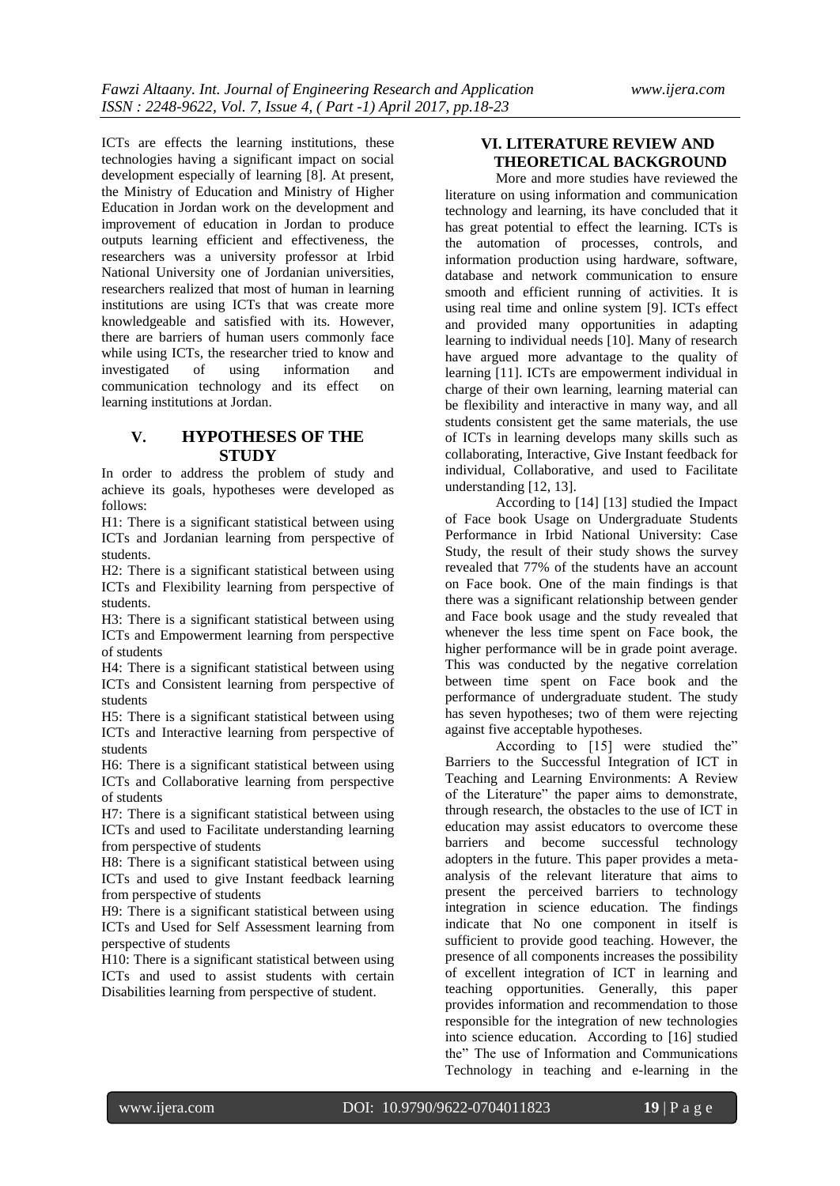ICTs are effects the learning institutions, these technologies having a significant impact on social development especially of learning [8]. At present, the Ministry of Education and Ministry of Higher Education in Jordan work on the development and improvement of education in Jordan to produce outputs learning efficient and effectiveness, the researchers was a university professor at Irbid National University one of Jordanian universities, researchers realized that most of human in learning institutions are using ICTs that was create more knowledgeable and satisfied with its. However, there are barriers of human users commonly face while using ICTs, the researcher tried to know and investigated of using information and communication technology and its effect on learning institutions at Jordan.

# **V. HYPOTHESES OF THE STUDY**

In order to address the problem of study and achieve its goals, hypotheses were developed as follows:

H1: There is a significant statistical between using ICTs and Jordanian learning from perspective of students.

H2: There is a significant statistical between using ICTs and Flexibility learning from perspective of students.

H3: There is a significant statistical between using ICTs and Empowerment learning from perspective of students

H4: There is a significant statistical between using ICTs and Consistent learning from perspective of students

H5: There is a significant statistical between using ICTs and Interactive learning from perspective of students

H6: There is a significant statistical between using ICTs and Collaborative learning from perspective of students

H7: There is a significant statistical between using ICTs and used to Facilitate understanding learning from perspective of students

H8: There is a significant statistical between using ICTs and used to give Instant feedback learning from perspective of students

H9: There is a significant statistical between using ICTs and Used for Self Assessment learning from perspective of students

H10: There is a significant statistical between using ICTs and used to assist students with certain Disabilities learning from perspective of student.

# **VI. LITERATURE REVIEW AND THEORETICAL BACKGROUND**

More and more studies have reviewed the literature on using information and communication technology and learning, its have concluded that it has great potential to effect the learning. ICTs is the automation of processes, controls, and information production using hardware, software, database and network communication to ensure smooth and efficient running of activities. It is using real time and online system [9]. ICTs effect and provided many opportunities in adapting learning to individual needs [10]. Many of research have argued more advantage to the quality of learning [11]. ICTs are empowerment individual in charge of their own learning, learning material can be flexibility and interactive in many way, and all students consistent get the same materials, the use of ICTs in learning develops many skills such as collaborating, Interactive, Give Instant feedback for individual, Collaborative, and used to Facilitate understanding [12, 13].

According to [14] [13] studied the Impact of Face book Usage on Undergraduate Students Performance in Irbid National University: Case Study, the result of their study shows the survey revealed that 77% of the students have an account on Face book. One of the main findings is that there was a significant relationship between gender and Face book usage and the study revealed that whenever the less time spent on Face book, the higher performance will be in grade point average. This was conducted by the negative correlation between time spent on Face book and the performance of undergraduate student. The study has seven hypotheses; two of them were rejecting against five acceptable hypotheses.

According to [15] were studied the" Barriers to the Successful Integration of ICT in Teaching and Learning Environments: A Review of the Literature" the paper aims to demonstrate, through research, the obstacles to the use of ICT in education may assist educators to overcome these barriers and become successful technology adopters in the future. This paper provides a metaanalysis of the relevant literature that aims to present the perceived barriers to technology integration in science education. The findings indicate that No one component in itself is sufficient to provide good teaching. However, the presence of all components increases the possibility of excellent integration of ICT in learning and teaching opportunities. Generally, this paper provides information and recommendation to those responsible for the integration of new technologies into science education. According to [16] studied the" The use of Information and Communications Technology in teaching and e-learning in the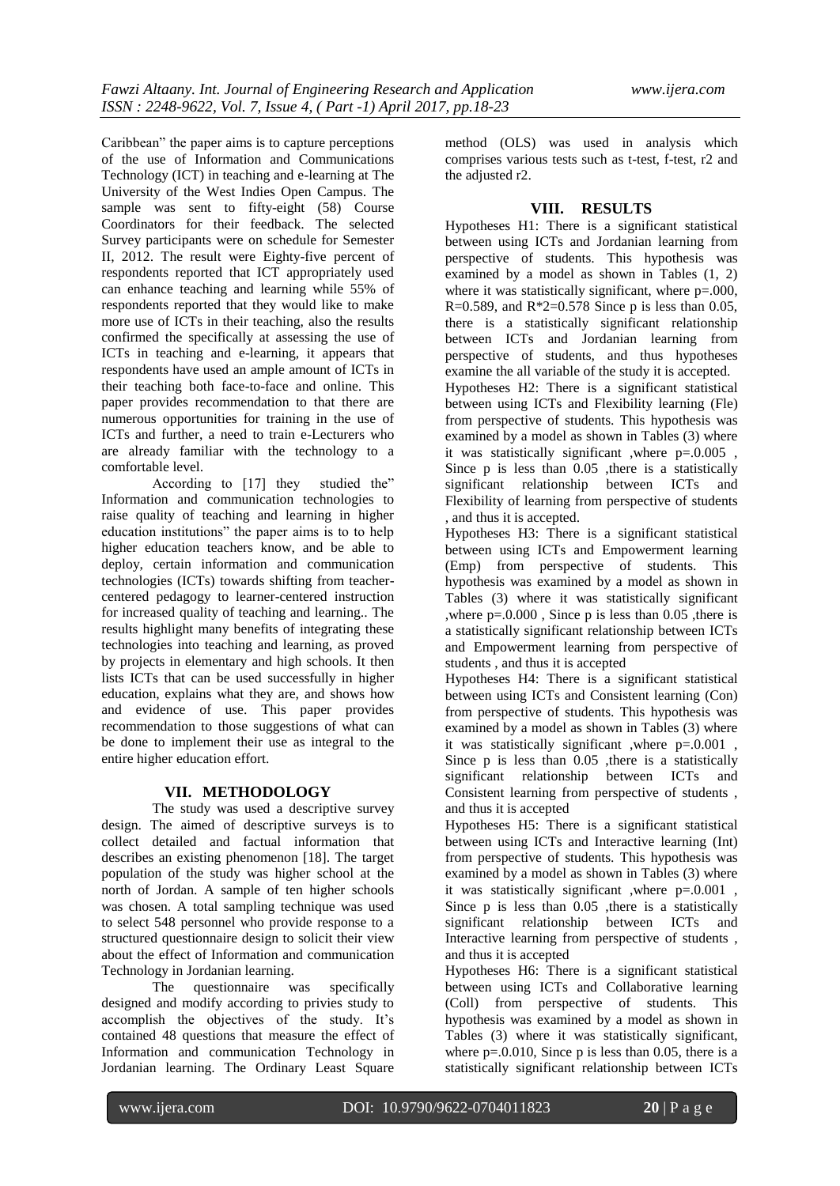Caribbean" the paper aims is to capture perceptions of the use of Information and Communications Technology (ICT) in teaching and e-learning at The University of the West Indies Open Campus. The sample was sent to fifty-eight (58) Course Coordinators for their feedback. The selected Survey participants were on schedule for Semester II, 2012. The result were Eighty-five percent of respondents reported that ICT appropriately used can enhance teaching and learning while 55% of respondents reported that they would like to make more use of ICTs in their teaching, also the results confirmed the specifically at assessing the use of ICTs in teaching and e-learning, it appears that respondents have used an ample amount of ICTs in their teaching both face-to-face and online. This paper provides recommendation to that there are numerous opportunities for training in the use of ICTs and further, a need to train e-Lecturers who are already familiar with the technology to a comfortable level.

According to [17] they studied the" Information and communication technologies to raise quality of teaching and learning in higher education institutions" the paper aims is to to help higher education teachers know, and be able to deploy, certain information and communication technologies (ICTs) towards shifting from teachercentered pedagogy to learner-centered instruction for increased quality of teaching and learning.. The results highlight many benefits of integrating these technologies into teaching and learning, as proved by projects in elementary and high schools. It then lists ICTs that can be used successfully in higher education, explains what they are, and shows how and evidence of use. This paper provides recommendation to those suggestions of what can be done to implement their use as integral to the entire higher education effort.

# **VII. METHODOLOGY**

The study was used a descriptive survey design. The aimed of descriptive surveys is to collect detailed and factual information that describes an existing phenomenon [18]. The target population of the study was higher school at the north of Jordan. A sample of ten higher schools was chosen. A total sampling technique was used to select 548 personnel who provide response to a structured questionnaire design to solicit their view about the effect of Information and communication Technology in Jordanian learning.

The questionnaire was specifically designed and modify according to privies study to accomplish the objectives of the study. It's contained 48 questions that measure the effect of Information and communication Technology in Jordanian learning. The Ordinary Least Square

method (OLS) was used in analysis which comprises various tests such as t-test, f-test, r2 and the adjusted r2.

# **VIII. RESULTS**

Hypotheses H1: There is a significant statistical between using ICTs and Jordanian learning from perspective of students. This hypothesis was examined by a model as shown in Tables (1, 2) where it was statistically significant, where  $p=0.000$ , R=0.589, and R\*2=0.578 Since p is less than 0.05, there is a statistically significant relationship between ICTs and Jordanian learning from perspective of students, and thus hypotheses examine the all variable of the study it is accepted. Hypotheses H2: There is a significant statistical between using ICTs and Flexibility learning (Fle) from perspective of students. This hypothesis was examined by a model as shown in Tables (3) where it was statistically significant ,where p=.0.005 , Since p is less than 0.05 ,there is a statistically significant relationship between ICTs and Flexibility of learning from perspective of students , and thus it is accepted.

Hypotheses H3: There is a significant statistical between using ICTs and Empowerment learning (Emp) from perspective of students. This hypothesis was examined by a model as shown in Tables (3) where it was statistically significant ,where  $p=0.000$ , Since p is less than 0.05, there is a statistically significant relationship between ICTs and Empowerment learning from perspective of students , and thus it is accepted

Hypotheses H4: There is a significant statistical between using ICTs and Consistent learning (Con) from perspective of students. This hypothesis was examined by a model as shown in Tables (3) where it was statistically significant ,where p=.0.001 , Since p is less than 0.05 ,there is a statistically significant relationship between ICTs and Consistent learning from perspective of students , and thus it is accepted

Hypotheses H5: There is a significant statistical between using ICTs and Interactive learning (Int) from perspective of students. This hypothesis was examined by a model as shown in Tables (3) where it was statistically significant ,where p=.0.001 , Since p is less than 0.05 ,there is a statistically significant relationship between ICTs and Interactive learning from perspective of students , and thus it is accepted

Hypotheses H6: There is a significant statistical between using ICTs and Collaborative learning (Coll) from perspective of students. This hypothesis was examined by a model as shown in Tables (3) where it was statistically significant, where  $p=.0.010$ , Since p is less than 0.05, there is a statistically significant relationship between ICTs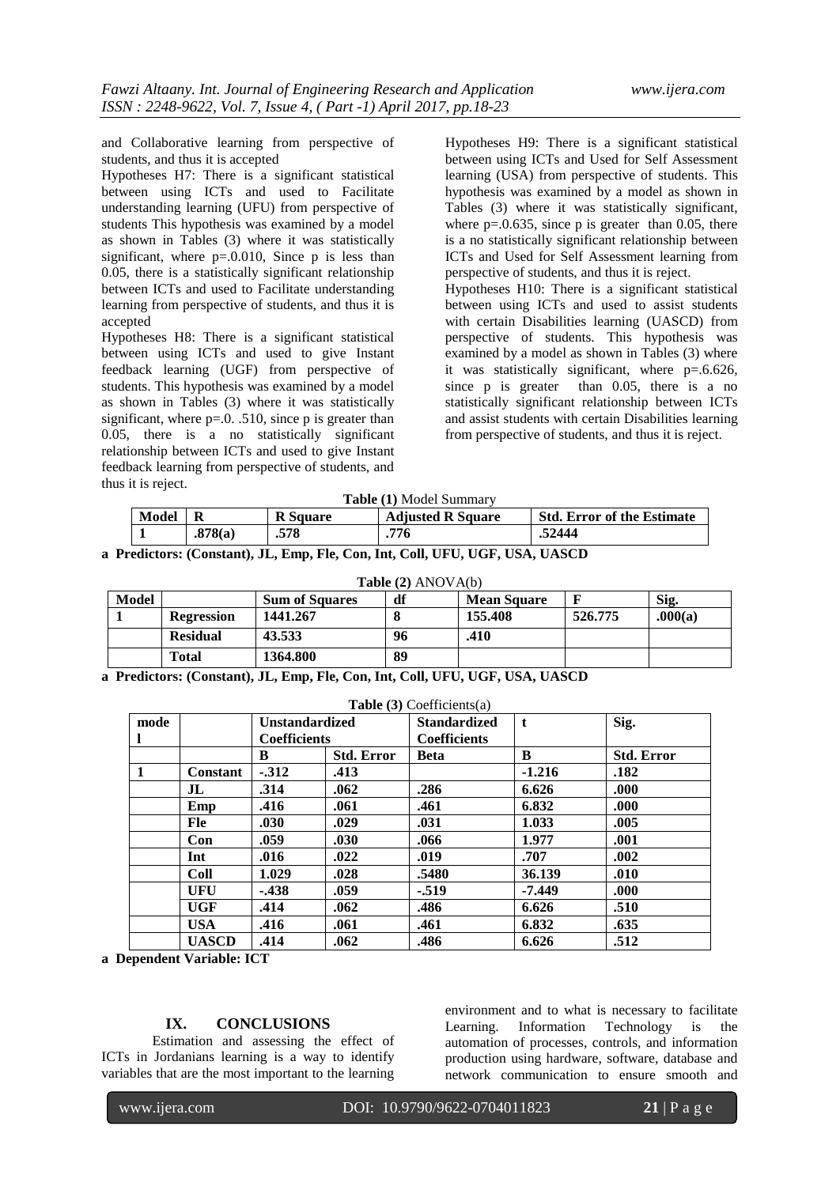and Collaborative learning from perspective of students, and thus it is accepted

Hypotheses H7: There is a significant statistical between using ICTs and used to Facilitate understanding learning (UFU) from perspective of students This hypothesis was examined by a model as shown in Tables (3) where it was statistically significant, where  $p=.0.010$ , Since p is less than 0.05, there is a statistically significant relationship between ICTs and used to Facilitate understanding learning from perspective of students, and thus it is accepted

Hypotheses H8: There is a significant statistical between using ICTs and used to give Instant feedback learning (UGF) from perspective of students. This hypothesis was examined by a model as shown in Tables (3) where it was statistically significant, where  $p=0$ . .510, since p is greater than 0.05, there is a no statistically significant relationship between ICTs and used to give Instant feedback learning from perspective of students, and thus it is reject.

Hypotheses H9: There is a significant statistical between using ICTs and Used for Self Assessment learning (USA) from perspective of students. This hypothesis was examined by a model as shown in Tables (3) where it was statistically significant, where  $p=0.635$ , since p is greater than 0.05, there is a no statistically significant relationship between ICTs and Used for Self Assessment learning from perspective of students, and thus it is reject.

Hypotheses H10: There is a significant statistical between using ICTs and used to assist students with certain Disabilities learning (UASCD) from perspective of students. This hypothesis was examined by a model as shown in Tables (3) where it was statistically significant, where p=.6.626, since p is greater than 0.05, there is a no statistically significant relationship between ICTs and assist students with certain Disabilities learning from perspective of students, and thus it is reject.

|  |  | Table (1) Model Summary |
|--|--|-------------------------|
|--|--|-------------------------|

| Model |         | <b>R</b> Square | <b>Adjusted R Square</b> | <b>Std. Error of the Estimate</b> |
|-------|---------|-----------------|--------------------------|-----------------------------------|
|       | .878(a) | .578            | .776                     | .52444                            |

|  | a Predictors: (Constant), JL, Emp, Fle, Con, Int, Coll, UFU, UGF, USA, UASCD |  |  |  |  |  |  |  |  |
|--|------------------------------------------------------------------------------|--|--|--|--|--|--|--|--|
|--|------------------------------------------------------------------------------|--|--|--|--|--|--|--|--|

| Table $(2)$ ANOVA $(b)$                                            |                   |          |    |         |         |         |  |  |
|--------------------------------------------------------------------|-------------------|----------|----|---------|---------|---------|--|--|
| df<br>Model<br>Sig.<br><b>Sum of Squares</b><br><b>Mean Square</b> |                   |          |    |         |         |         |  |  |
|                                                                    | <b>Regression</b> | 1441.267 |    | 155.408 | 526.775 | .000(a) |  |  |
|                                                                    | <b>Residual</b>   | 43.533   | 96 | .410    |         |         |  |  |
|                                                                    | <b>Total</b>      | 1364.800 | 89 |         |         |         |  |  |

**a Predictors: (Constant), JL, Emp, Fle, Con, Int, Coll, UFU, UGF, USA, UASCD**

| <b>Table</b> (3) Coefficients(a) |                 |                     |                   |                     |          |                   |  |  |
|----------------------------------|-----------------|---------------------|-------------------|---------------------|----------|-------------------|--|--|
| mode                             |                 | Unstandardized      |                   | <b>Standardized</b> | t        | Sig.              |  |  |
| -1                               |                 | <b>Coefficients</b> |                   | <b>Coefficients</b> |          |                   |  |  |
|                                  |                 | B                   | <b>Std. Error</b> | <b>Beta</b>         | B        | <b>Std. Error</b> |  |  |
| $\blacksquare$                   | <b>Constant</b> | $-312$              | .413              |                     | $-1.216$ | .182              |  |  |
|                                  | J <sub>L</sub>  | .314                | .062              | .286                | 6.626    | .000              |  |  |
|                                  | Emp             | .416                | .061              | .461                | 6.832    | .000              |  |  |
|                                  | Fle             | .030                | .029              | .031                | 1.033    | .005              |  |  |
|                                  | Con             | .059                | .030              | .066                | 1.977    | .001              |  |  |
|                                  | Int             | .016                | .022              | .019                | .707     | .002              |  |  |
|                                  | <b>Coll</b>     | 1.029               | .028              | .5480               | 36.139   | .010              |  |  |
|                                  | <b>UFU</b>      | $-438$              | .059              | $-.519$             | $-7.449$ | .000              |  |  |
|                                  | UGF             | .414                | .062              | .486                | 6.626    | .510              |  |  |
|                                  | <b>USA</b>      | .416                | .061              | .461                | 6.832    | .635              |  |  |
|                                  | <b>UASCD</b>    | .414                | .062              | .486                | 6.626    | .512              |  |  |

**a Dependent Variable: ICT**

# **IX. CONCLUSIONS**

Estimation and assessing the effect of ICTs in Jordanians learning is a way to identify variables that are the most important to the learning environment and to what is necessary to facilitate Learning. Information Technology is the automation of processes, controls, and information production using hardware, software, database and network communication to ensure smooth and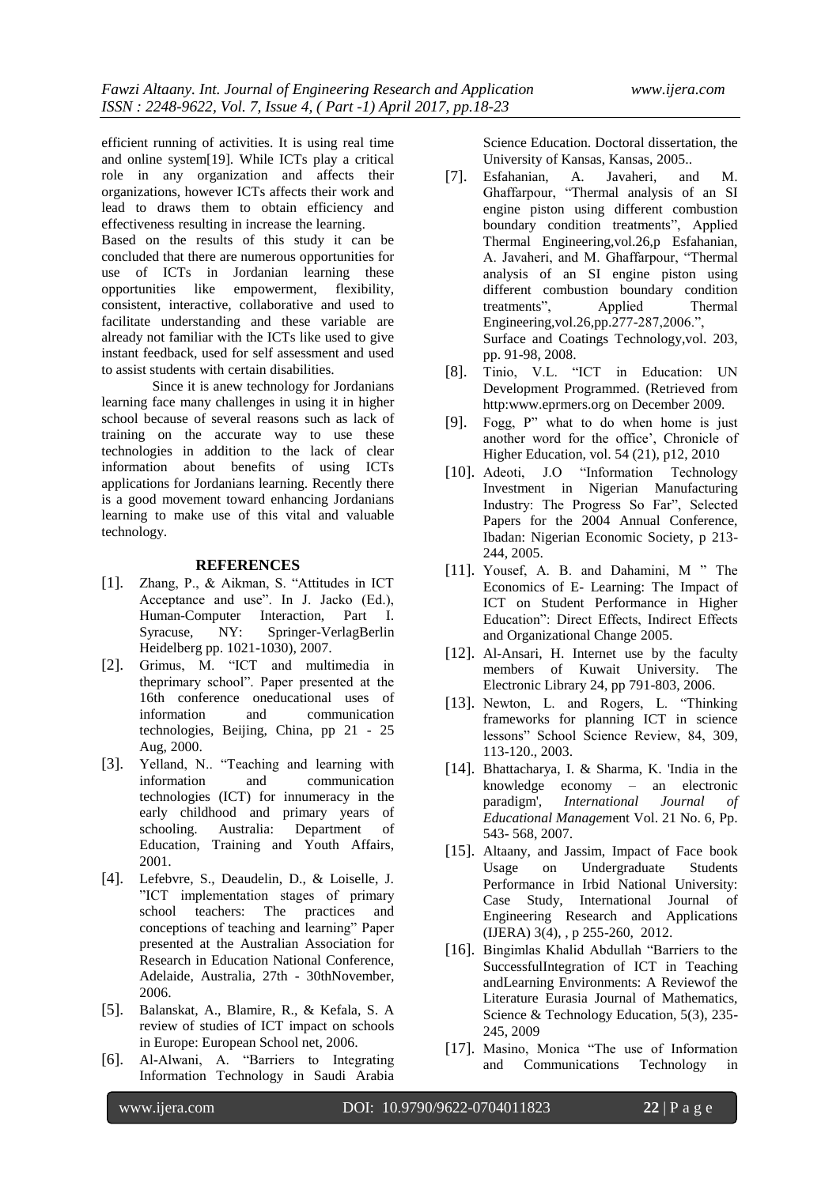efficient running of activities. It is using real time and online system[19]. While ICTs play a critical role in any organization and affects their organizations, however ICTs affects their work and lead to draws them to obtain efficiency and effectiveness resulting in increase the learning.

Based on the results of this study it can be concluded that there are numerous opportunities for use of ICTs in Jordanian learning these opportunities like empowerment, flexibility, consistent, interactive, collaborative and used to facilitate understanding and these variable are already not familiar with the ICTs like used to give instant feedback, used for self assessment and used to assist students with certain disabilities.

Since it is anew technology for Jordanians learning face many challenges in using it in higher school because of several reasons such as lack of training on the accurate way to use these technologies in addition to the lack of clear information about benefits of using ICTs applications for Jordanians learning. Recently there is a good movement toward enhancing Jordanians learning to make use of this vital and valuable technology.

#### **REFERENCES**

- [1]. Zhang, P., & Aikman, S. "Attitudes in ICT Acceptance and use". In J. Jacko (Ed.), Human-Computer Interaction, Part I. Syracuse, NY: Springer-VerlagBerlin Heidelberg pp. 1021-1030), 2007.
- [2]. Grimus, M. "ICT and multimedia in theprimary school". Paper presented at the 16th conference oneducational uses of information and communication technologies, Beijing, China, pp 21 - 25 Aug, 2000.
- [3]. Yelland, N.. "Teaching and learning with information and communication technologies (ICT) for innumeracy in the early childhood and primary years of schooling. Australia: Department of Education, Training and Youth Affairs, 2001.
- [4]. Lefebvre, S., Deaudelin, D., & Loiselle, J. "ICT implementation stages of primary school teachers: The practices and conceptions of teaching and learning" Paper presented at the Australian Association for Research in Education National Conference, Adelaide, Australia, 27th - 30thNovember, 2006.
- [5]. Balanskat, A., Blamire, R., & Kefala, S. A review of studies of ICT impact on schools in Europe: European School net, 2006.
- [6]. Al-Alwani, A. "Barriers to Integrating Information Technology in Saudi Arabia

Science Education. Doctoral dissertation, the University of Kansas, Kansas, 2005..

- [7]. Esfahanian, A. Javaheri, and M. Ghaffarpour, ["Thermal analysis of an SI](http://www.sciencedirect.com/science/article/pii/S1359431105001523)  [engine piston using different combustion](http://www.sciencedirect.com/science/article/pii/S1359431105001523)  [boundary condition treatments"](http://www.sciencedirect.com/science/article/pii/S1359431105001523), Applied Thermal Engineering,vol.26,p Esfahanian, A. Javaheri, and M. Ghaffarpour, ["Thermal](http://www.sciencedirect.com/science/article/pii/S1359431105001523)  [analysis of an SI engine piston using](http://www.sciencedirect.com/science/article/pii/S1359431105001523)  [different combustion boundary condition](http://www.sciencedirect.com/science/article/pii/S1359431105001523)  [treatments"](http://www.sciencedirect.com/science/article/pii/S1359431105001523), Applied Thermal Engineering,vol.26,pp.277-287,2006.", [Surface and Coatings Technology,](http://www.sciencedirect.com/science/journal/02578972)vol. 203, pp. 91-98, 2008.
- [8]. Tinio, V.L. "ICT in Education: UN Development Programmed. (Retrieved from http:www.eprmers.org on December 2009.
- [9]. Fogg, P" what to do when home is just another word for the office', Chronicle of Higher Education, vol. 54 (21), p12, 2010
- [10]. Adeoti, J.O "Information Technology Investment in Nigerian Manufacturing Industry: The Progress So Far", Selected Papers for the 2004 Annual Conference, Ibadan: Nigerian Economic Society, p 213- 244, 2005.
- [11]. Yousef, A. B. and Dahamini, M " The Economics of E- Learning: The Impact of ICT on Student Performance in Higher Education": Direct Effects, Indirect Effects and Organizational Change 2005.
- [12]. Al-Ansari, H. Internet use by the faculty members of Kuwait University. The Electronic Library 24, pp 791-803, 2006.
- [13]. Newton, L. and Rogers, L. "Thinking frameworks for planning ICT in science lessons" School Science Review, 84, 309, 113-120., 2003.
- [14]. Bhattacharya, I. & Sharma, K. 'India in the knowledge economy – an electronic paradigm', *International Journal of Educational Managem*ent Vol. 21 No. 6, Pp. 543- 568, 2007.
- [15]. Altaany, and Jassim, Impact of Face book Usage on Undergraduate Students Performance in Irbid National University: Case Study, International Journal of Engineering Research and Applications (IJERA) 3(4), , p 255-260, 2012.
- [16]. Bingimlas Khalid Abdullah "Barriers to the SuccessfulIntegration of ICT in Teaching andLearning Environments: A Reviewof the Literature Eurasia Journal of Mathematics, Science & Technology Education, 5(3), 235- 245, 2009
- [17]. Masino, Monica "The use of Information and Communications Technology in